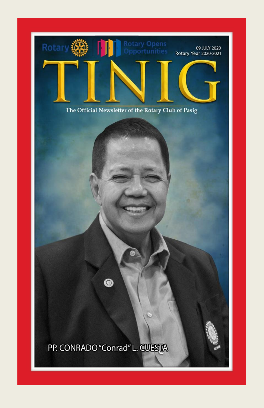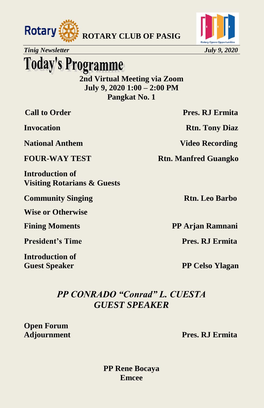



**Today's Programme** 

**2nd Virtual Meeting via Zoom July 9, 2020 1:00 – 2:00 PM Pangkat No. 1**

**National Anthem Video Recording** 

**Introduction of Visiting Rotarians & Guests** 

**Community Singing Rtn. Leo Barbo** 

**Wise or Otherwise**

**President's Time Pres. RJ Ermita** 

**Introduction of**

**Call to Order Pres. RJ Ermita** 

**Invocation** Rtn. Tony Diaz

**FOUR-WAY TEST** Rtn. Manfred Guangko

**Fining Moments PP Arjan Ramnani**

**Guest Speaker PP Celso Ylagan** 

### *PP CONRADO "Conrad" L. CUESTA GUEST SPEAKER*

**Open Forum**

**Adjournment Pres. RJ Ermita**

**PP Rene Bocaya Emcee**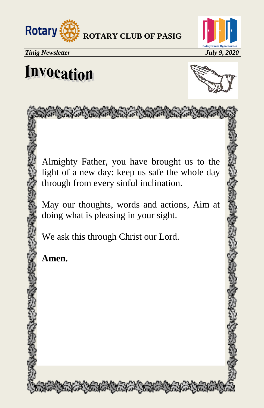



# **Invocation**



Almighty Father, you have brought us to the light of a new day: keep us safe the whole day through from every sinful inclination.

KA TAKA TAKAN TAKAN SAKAN TAKAN

May our thoughts, words and actions, Aim at doing what is pleasing in your sight.

We ask this through Christ our Lord.

**Amen.**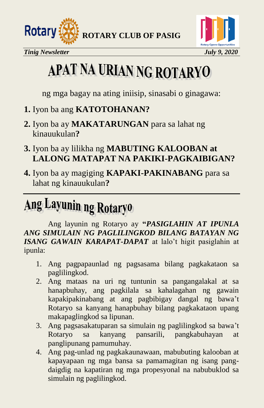





# APAT NA URIAN NG ROTARYO

ng mga bagay na ating iniisip, sinasabi o ginagawa:

- **1.** Iyon ba ang **KATOTOHANAN?**
- **2.** Iyon ba ay **MAKATARUNGAN** para sa lahat ng kinauukulan**?**
- **3.** Iyon ba ay lilikha ng **MABUTING KALOOBAN at LALONG MATAPAT NA PAKIKI-PAGKAIBIGAN?**
- **4.** Iyon ba ay magiging **KAPAKI-PAKINABANG** para sa lahat ng kinauukulan**?**

# Ang Layunin ng Rotaryo

Ang layunin ng Rotaryo ay **"***PASIGLAHIN AT IPUNLA ANG SIMULAIN NG PAGLILINGKOD BILANG BATAYAN NG ISANG GAWAIN KARAPAT-DAPAT* at lalo't higit pasiglahin at ipunla:

- 1. Ang pagpapaunlad ng pagsasama bilang pagkakataon sa paglilingkod.
- 2. Ang mataas na uri ng tuntunin sa pangangalakal at sa hanapbuhay, ang pagkilala sa kahalagahan ng gawain kapakipakinabang at ang pagbibigay dangal ng bawa't Rotaryo sa kanyang hanapbuhay bilang pagkakataon upang makapaglingkod sa lipunan.
- 3. Ang pagsasakatuparan sa simulain ng paglilingkod sa bawa't Rotaryo sa kanyang pansarili, pangkabuhayan at panglipunang pamumuhay.
- 4. Ang pag-unlad ng pagkakaunawaan, mabubuting kalooban at kapayapaan ng mga bansa sa pamamagitan ng isang pangdaigdig na kapatiran ng mga propesyonal na nabubuklod sa simulain ng paglilingkod.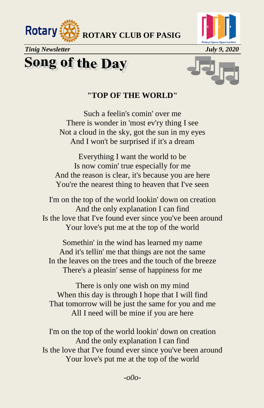



**Song of the Day** 



#### **"TOP OF THE WORLD"**

Such a feelin's comin' over me There is wonder in 'most ev'ry thing I see Not a cloud in the sky, got the sun in my eyes And I won't be surprised if it's a dream

Everything I want the world to be Is now comin' true especially for me And the reason is clear, it's because you are here You're the nearest thing to heaven that I've seen

I'm on the top of the world lookin' down on creation And the only explanation I can find Is the love that I've found ever since you've been around Your love's put me at the top of the world

Somethin' in the wind has learned my name And it's tellin' me that things are not the same In the leaves on the trees and the touch of the breeze There's a pleasin' sense of happiness for me

There is only one wish on my mind When this day is through I hope that I will find That tomorrow will be just the same for you and me All I need will be mine if you are here

I'm on the top of the world lookin' down on creation And the only explanation I can find Is the love that I've found ever since you've been around Your love's put me at the top of the world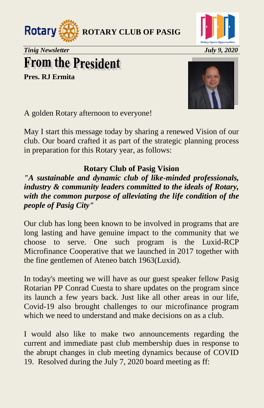



# **From the President**

**Pres. RJ Ermita**



A golden Rotary afternoon to everyone!

May I start this message today by sharing a renewed Vision of our club. Our board crafted it as part of the strategic planning process in preparation for this Rotary year, as follows:

#### **Rotary Club of Pasig Vision**

*"A sustainable and dynamic club of like-minded professionals, industry & community leaders committed to the ideals of Rotary, with the common purpose of alleviating the life condition of the people of Pasig City"*

Our club has long been known to be involved in programs that are long lasting and have genuine impact to the community that we choose to serve. One such program is the Luxid-RCP Microfinance Cooperative that we launched in 2017 together with the fine gentlemen of Ateneo batch 1963(Luxid).

In today's meeting we will have as our guest speaker fellow Pasig Rotarian PP Conrad Cuesta to share updates on the program since its launch a few years back. Just like all other areas in our life, Covid-19 also brought challenges to our microfinance program which we need to understand and make decisions on as a club.

I would also like to make two announcements regarding the current and immediate past club membership dues in response to the abrupt changes in club meeting dynamics because of COVID 19. Resolved during the July 7, 2020 board meeting as ff: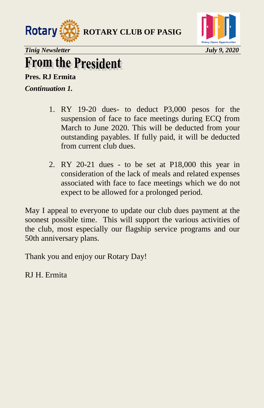



# **From the President**

**Pres. RJ Ermita**

*Continuation 1.*

- 1. RY 19-20 dues- to deduct P3,000 pesos for the suspension of face to face meetings during ECQ from March to June 2020. This will be deducted from your outstanding payables. If fully paid, it will be deducted from current club dues.
- 2. RY 20-21 dues to be set at P18,000 this year in consideration of the lack of meals and related expenses associated with face to face meetings which we do not expect to be allowed for a prolonged period.

May I appeal to everyone to update our club dues payment at the soonest possible time. This will support the various activities of the club, most especially our flagship service programs and our 50th anniversary plans.

Thank you and enjoy our Rotary Day!

RJ H. Ermita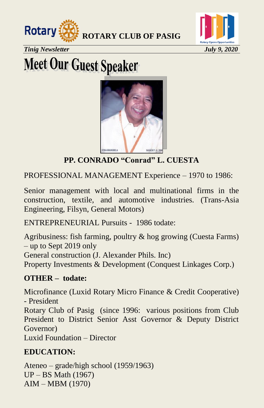



*Tinig Newsletter July 9, 2020* 

# **Meet Our Guest Speaker**



### **PP. CONRADO "Conrad" L. CUESTA**

PROFESSIONAL MANAGEMENT Experience – 1970 to 1986:

Senior management with local and multinational firms in the construction, textile, and automotive industries. (Trans-Asia Engineering, Filsyn, General Motors)

ENTREPRENEURIAL Pursuits - 1986 todate:

Agribusiness: fish farming, poultry & hog growing (Cuesta Farms) – up to Sept 2019 only General construction (J. Alexander Phils. Inc) Property Investments & Development (Conquest Linkages Corp.)

### **OTHER – todate:**

Microfinance (Luxid Rotary Micro Finance & Credit Cooperative) - President Rotary Club of Pasig (since 1996: various positions from Club President to District Senior Asst Governor & Deputy District Governor) Luxid Foundation – Director

### **EDUCATION:**

Ateneo – grade/high school (1959/1963) UP – BS Math (1967) AIM – MBM (1970)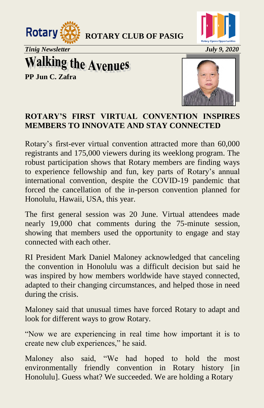



*Tinig Newsletter July 9, 2020* 

# **Walking the Avenues**

**PP Jun C. Zafra** 



### **ROTARY'S FIRST VIRTUAL CONVENTION INSPIRES MEMBERS TO INNOVATE AND STAY CONNECTED**

Rotary's first-ever virtual convention attracted more than 60,000 registrants and 175,000 viewers during its weeklong program. The robust participation shows that Rotary members are finding ways to experience fellowship and fun, key parts of Rotary's annual international convention, despite the COVID-19 pandemic that forced the cancellation of the in-person convention planned for Honolulu, Hawaii, USA, this year.

The first general session was 20 June. Virtual attendees made nearly 19,000 chat comments during the 75-minute session, showing that members used the opportunity to engage and stay connected with each other.

RI President Mark Daniel Maloney acknowledged that canceling the convention in Honolulu was a difficult decision but said he was inspired by how members worldwide have stayed connected, adapted to their changing circumstances, and helped those in need during the crisis.

Maloney said that unusual times have forced Rotary to adapt and look for different ways to grow Rotary.

―Now we are experiencing in real time how important it is to create new club experiences," he said.

Maloney also said, "We had hoped to hold the most environmentally friendly convention in Rotary history [in Honolulu]. Guess what? We succeeded. We are holding a Rotary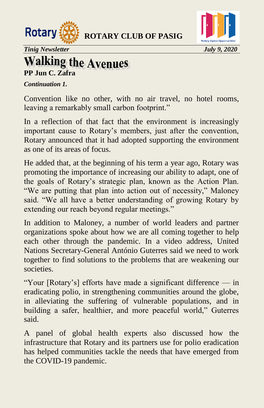



*Tinig Newsletter July 9, 2020*

### **Walking the Avenues PP Jun C. Zafra**

### *Continuation 1.*

Convention like no other, with no air travel, no hotel rooms, leaving a remarkably small carbon footprint."

In a reflection of that fact that the environment is increasingly important cause to Rotary's members, just after the convention, Rotary announced that it had adopted supporting the environment as one of its areas of focus.

He added that, at the beginning of his term a year ago, Rotary was promoting the importance of increasing our ability to adapt, one of the goals of Rotary's strategic plan, known as the Action Plan. "We are putting that plan into action out of necessity," Maloney said. "We all have a better understanding of growing Rotary by extending our reach beyond regular meetings."

In addition to Maloney, a number of world leaders and partner organizations spoke about how we are all coming together to help each other through the pandemic. In a video address, United Nations Secretary-General António Guterres said we need to work together to find solutions to the problems that are weakening our societies.

―Your [Rotary's] efforts have made a significant difference — in eradicating polio, in strengthening communities around the globe, in alleviating the suffering of vulnerable populations, and in building a safer, healthier, and more peaceful world," Guterres said.

A panel of global health experts also discussed how the infrastructure that Rotary and its partners use for polio eradication has helped communities tackle the needs that have emerged from the COVID-19 pandemic.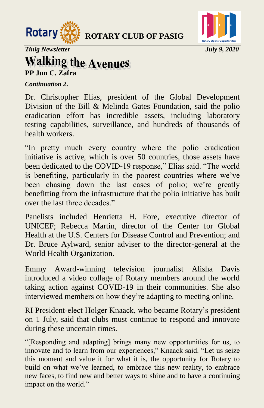



*Tinig Newsletter July 9, 2020* 

# **Walking the Avenues**

**PP Jun C. Zafra** 

*Continuation 2.* 

Dr. Christopher Elias, president of the Global Development Division of the Bill & Melinda Gates Foundation, said the polio eradication effort has incredible assets, including laboratory testing capabilities, surveillance, and hundreds of thousands of health workers.

"In pretty much every country where the polio eradication initiative is active, which is over 50 countries, those assets have been dedicated to the COVID-19 response," Elias said. "The world is benefiting, particularly in the poorest countries where we've been chasing down the last cases of polio; we're greatly benefitting from the infrastructure that the polio initiative has built over the last three decades."

Panelists included Henrietta H. Fore, executive director of UNICEF; Rebecca Martin, director of the Center for Global Health at the U.S. Centers for Disease Control and Prevention; and Dr. Bruce Aylward, senior adviser to the director-general at the World Health Organization.

Emmy Award-winning television journalist Alisha Davis introduced a video collage of Rotary members around the world taking action against COVID-19 in their communities. She also interviewed members on how they're adapting to meeting online.

RI President-elect Holger Knaack, who became Rotary's president on 1 July, said that clubs must continue to respond and innovate during these uncertain times.

―[Responding and adapting] brings many new opportunities for us, to innovate and to learn from our experiences," Knaack said. "Let us seize this moment and value it for what it is, the opportunity for Rotary to build on what we've learned, to embrace this new reality, to embrace new faces, to find new and better ways to shine and to have a continuing impact on the world."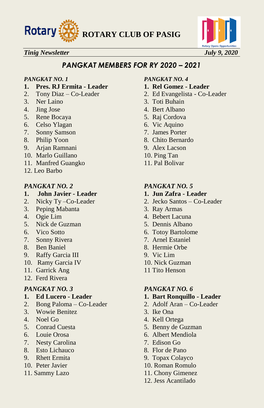



#### *PANGKAT MEMBERS FOR RY 2020 – 2021*

- **1. Pres. RJ Ermita - Leader 1. Rel Gomez - Leader**
- 
- 
- 
- 5. Rene Bocaya 5. Raj Cordova
- 6. Celso Ylagan 6. Vic Aquino
- 7. Sonny Samson 7. James Porter
- 
- 9. Arjan Ramnani 9. Alex Lacson
- 10. Marlo Guillano 10. Ping Tan
- 11. Manfred Guangko 11. Pal Bolivar
- 12. Leo Barbo

#### *PANGKAT NO. 2 PANGKAT NO. 5*

- **1. John Javier - Leader 1. Jun Zafra - Leader**
- 
- 3. Peping Mabanta 3. Ray Armas
- 
- 5. Nick de Guzman 5. Dennis Albano
- 
- 7. Sonny Rivera 7. Arnel Estaniel
- 
- 9. Raffy Garcia III 9. Vic Lim
- 10. Ramy Garcia IV 10. Nick Guzman
- 11. Garrick Ang 11 Tito Henson
- 12. Ferd Rivera

#### *PANGKAT NO. 3 PANGKAT NO. 6*

- 
- 2. Bong Paloma Co-Leader 2. Adolf Aran Co-Leader
- 3. Wowie Benitez 3. Ike Ona
- 
- 
- 
- 7. Nesty Carolina 7. Edison Go
- 8. Esto Lichauco 8. Flor de Pano
- 
- 
- 

#### *PANGKAT NO. 1 PANGKAT NO. 4*

- 
- 2. Tony Diaz Co-Leader 2. Ed Evangelista Co-Leader
- 3. Ner Laino 3. Toti Buhain
- 4. Jing Jose 4. Bert Albano
	-
	-
	-
- 8. Philip Yoon 8. Chito Bernardo
	-
	-
	-

- 
- 2. Nicky Ty –Co-Leader 2. Jecko Santos Co-Leader
	-
- 4. Ogie Lim 4. Bebert Lacuna
	-
- 6. Vico Sotto 6. Totoy Bartolome
	-
- 8. Ben Baniel 8. Hermie Orbe
	-
	-
	-

- **1. Ed Lucero - Leader 1. Bart Ronquillo - Leader**
	-
	-
- 4. Noel Go 4. Kell Ortega
- 5. Conrad Cuesta 5. Benny de Guzman
- 6. Louie Orosa 6. Albert Mendiola
	-
	-
- 9. Rhett Ermita 9. Topax Colayco
- 10. Peter Javier 10. Roman Romulo
- 11. Sammy Lazo 11. Chony Gimenez
	- 12. Jess Acantilado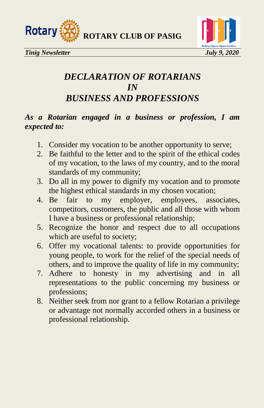



### *DECLARATION OF ROTARIANS IN BUSINESS AND PROFESSIONS*

#### *As a Rotarian engaged in a business or profession, I am expected to:*

- 1. Consider my vocation to be another opportunity to serve;
- 2. Be faithful to the letter and to the spirit of the ethical codes of my vocation, to the laws of my country, and to the moral standards of my community;
- 3. Do all in my power to dignify my vocation and to promote the highest ethical standards in my chosen vocation;
- 4. Be fair to my employer, employees, associates, competitors, customers, the public and all those with whom I have a business or professional relationship;
- 5. Recognize the honor and respect due to all occupations which are useful to society;
- 6. Offer my vocational talents: to provide opportunities for young people, to work for the relief of the special needs of others, and to improve the quality of life in my community;
- 7. Adhere to honesty in my advertising and in all representations to the public concerning my business or professions;
- 8. Neither seek from nor grant to a fellow Rotarian a privilege or advantage not normally accorded others in a business or professional relationship.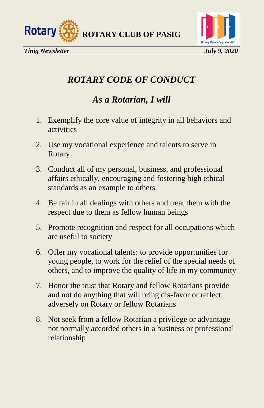

## *ROTARY CODE OF CONDUCT*

### *As a Rotarian, I will*

- 1. Exemplify the core value of integrity in all behaviors and activities
- 2. Use my vocational experience and talents to serve in Rotary
- 3. Conduct all of my personal, business, and professional affairs ethically, encouraging and fostering high ethical standards as an example to others
- 4. Be fair in all dealings with others and treat them with the respect due to them as fellow human beings
- 5. Promote recognition and respect for all occupations which are useful to society
- 6. Offer my vocational talents: to provide opportunities for young people, to work for the relief of the special needs of others, and to improve the quality of life in my community
- 7. Honor the trust that Rotary and fellow Rotarians provide and not do anything that will bring dis-favor or reflect adversely on Rotary or fellow Rotarians
- 8. Not seek from a fellow Rotarian a privilege or advantage not normally accorded others in a business or professional relationship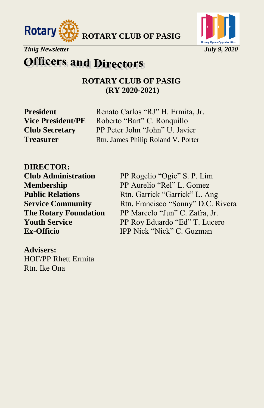





## **Officers and Directors**

#### **ROTARY CLUB OF PASIG (RY 2020-2021)**

**President** Renato Carlos "RJ" H. Ermita, Jr. **Vice President/PE** Roberto "Bart" C. Ronquillo **Club Secretary** PP Peter John "John" U. Javier **Treasurer** Rtn. James Philip Roland V. Porter

**DIRECTOR:** 

Rtn. Ike Ona

**Ex-Officio IPP Nick "Nick" C. Guzman Advisers:**  HOF/PP Rhett Ermita

**Club Administration** PP Rogelio "Ogie" S. P. Lim **Membership** PP Aurelio "Rel" L. Gomez **Public Relations** Rtn. Garrick "Garrick" L. Ang **Service Community** Rtn. Francisco "Sonny" D.C. Rivera **The Rotary Foundation** PP Marcelo "Jun" C. Zafra, Jr. **Youth Service** PP Roy Eduardo "Ed" T. Lucero